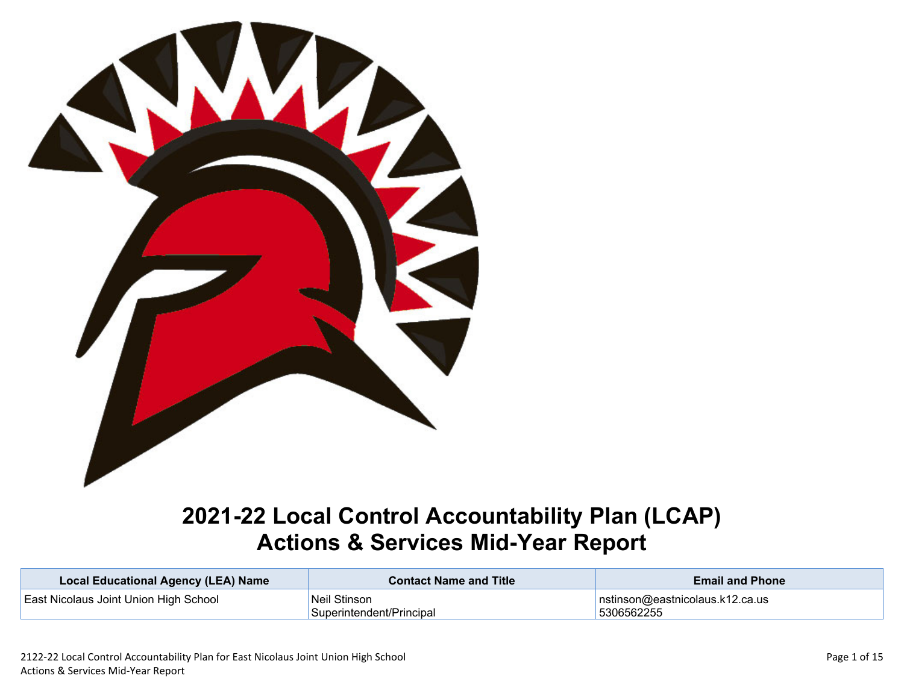

# **2021-22 Local Control Accountability Plan (LCAP) Actions & Services Mid-Year Report**

| <b>Local Educational Agency (LEA) Name</b>   | <b>Contact Name and Title</b> | <b>Email and Phone</b>                                                                                                                                                                                                                                                                                                                                                                                                                                                                                                                             |
|----------------------------------------------|-------------------------------|----------------------------------------------------------------------------------------------------------------------------------------------------------------------------------------------------------------------------------------------------------------------------------------------------------------------------------------------------------------------------------------------------------------------------------------------------------------------------------------------------------------------------------------------------|
| <b>East Nicolaus Joint Union High School</b> | <sup>I</sup> Neil Stinson     | $\sqrt{\mathsf{n} \cdot \mathsf{n} \cdot \mathsf{n} \cdot \mathsf{n} \cdot \mathsf{n} \cdot \mathsf{n} \cdot \mathsf{n} \cdot \mathsf{n} \cdot \mathsf{n} \cdot \mathsf{n} \cdot \mathsf{n} \cdot \mathsf{n} \cdot \mathsf{n} \cdot \mathsf{n} \cdot \mathsf{n} \cdot \mathsf{n} \cdot \mathsf{n} \cdot \mathsf{n} \cdot \mathsf{n} \cdot \mathsf{n} \cdot \mathsf{n} \cdot \mathsf{n} \cdot \mathsf{n} \cdot \mathsf{n} \cdot \mathsf{n} \cdot \mathsf{n} \cdot \mathsf{n} \cdot \mathsf{n} \cdot \mathsf{n} \cdot \mathsf{n} \cdot \mathsf{n} \$ |
|                                              | Superintendent/Principal      | 5306562255                                                                                                                                                                                                                                                                                                                                                                                                                                                                                                                                         |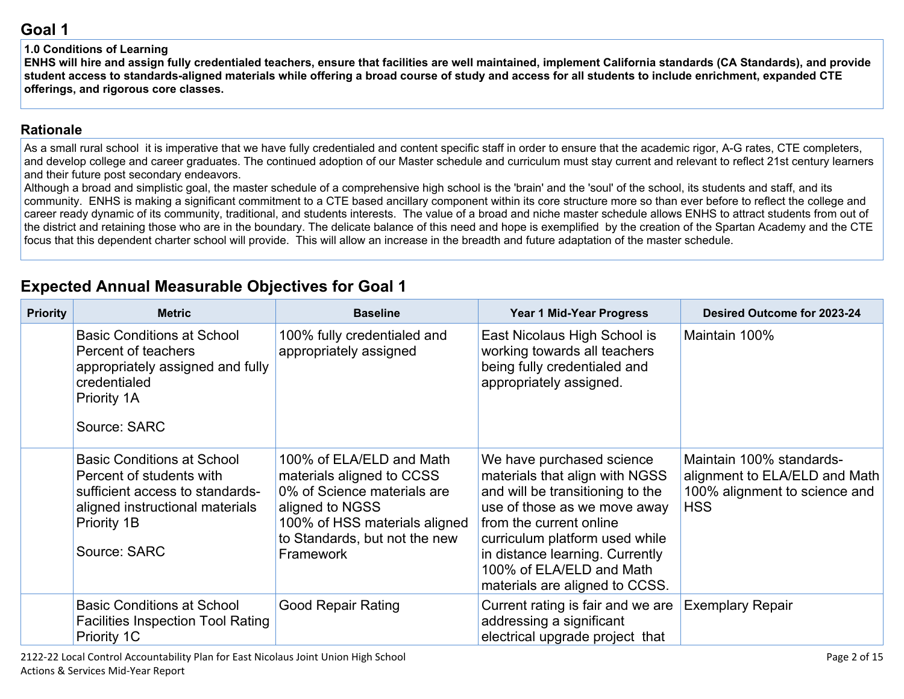#### **1.0 Conditions of Learning**

ENHS will hire and assign fully credentialed teachers, ensure that facilities are well maintained, implement California standards (CA Standards), and provide student access to standards-aligned materials while offering a broad course of study and access for all students to include enrichment, expanded CTE **offerings, and rigorous core classes.**

#### **[Rationale](http://www.doc-tracking.com/screenshots/20LCAP/Instructions/20LCAPInstructions.htm#ExplanationofWhytheLEADevelopedGoals)**

As a small rural school it is imperative that we have fully credentialed and content specific staff in order to ensure that the academic rigor, A-G rates, CTE completers, and develop college and career graduates. The continued adoption of our Master schedule and curriculum must stay current and relevant to reflect 21st century learners and their future post secondary endeavors.

Although a broad and simplistic goal, the master schedule of a comprehensive high school is the 'brain' and the 'soul' of the school, its students and staff, and its community. ENHS is making a significant commitment to a CTE based ancillary component within its core structure more so than ever before to reflect the college and career ready dynamic of its community, traditional, and students interests. The value of a broad and niche master schedule allows ENHS to attract students from out of the district and retaining those who are in the boundary. The delicate balance of this need and hope is exemplified by the creation of the Spartan Academy and the CTE focus that this dependent charter school will provide. This will allow an increase in the breadth and future adaptation of the master schedule.

# **Expected Annual Measurable Objectives for Goal 1**

| <b>Priority</b> | <b>Metric</b>                                                                                                                                                      | <b>Baseline</b>                                                                                                                                                                        | Year 1 Mid-Year Progress                                                                                                                                                                                                                                                                      | Desired Outcome for 2023-24                                                                              |
|-----------------|--------------------------------------------------------------------------------------------------------------------------------------------------------------------|----------------------------------------------------------------------------------------------------------------------------------------------------------------------------------------|-----------------------------------------------------------------------------------------------------------------------------------------------------------------------------------------------------------------------------------------------------------------------------------------------|----------------------------------------------------------------------------------------------------------|
|                 | <b>Basic Conditions at School</b><br>Percent of teachers<br>appropriately assigned and fully<br>credentialed<br>Priority 1A<br>Source: SARC                        | 100% fully credentialed and<br>appropriately assigned                                                                                                                                  | East Nicolaus High School is<br>working towards all teachers<br>being fully credentialed and<br>appropriately assigned.                                                                                                                                                                       | Maintain 100%                                                                                            |
|                 | <b>Basic Conditions at School</b><br>Percent of students with<br>sufficient access to standards-<br>aligned instructional materials<br>Priority 1B<br>Source: SARC | 100% of ELA/ELD and Math<br>materials aligned to CCSS<br>0% of Science materials are<br>aligned to NGSS<br>100% of HSS materials aligned<br>to Standards, but not the new<br>Framework | We have purchased science<br>materials that align with NGSS<br>and will be transitioning to the<br>use of those as we move away<br>from the current online<br>curriculum platform used while<br>in distance learning. Currently<br>100% of ELA/ELD and Math<br>materials are aligned to CCSS. | Maintain 100% standards-<br>alignment to ELA/ELD and Math<br>100% alignment to science and<br><b>HSS</b> |
|                 | <b>Basic Conditions at School</b><br><b>Facilities Inspection Tool Rating</b><br>Priority 1C                                                                       | <b>Good Repair Rating</b>                                                                                                                                                              | Current rating is fair and we are<br>addressing a significant<br>electrical upgrade project that                                                                                                                                                                                              | <b>Exemplary Repair</b>                                                                                  |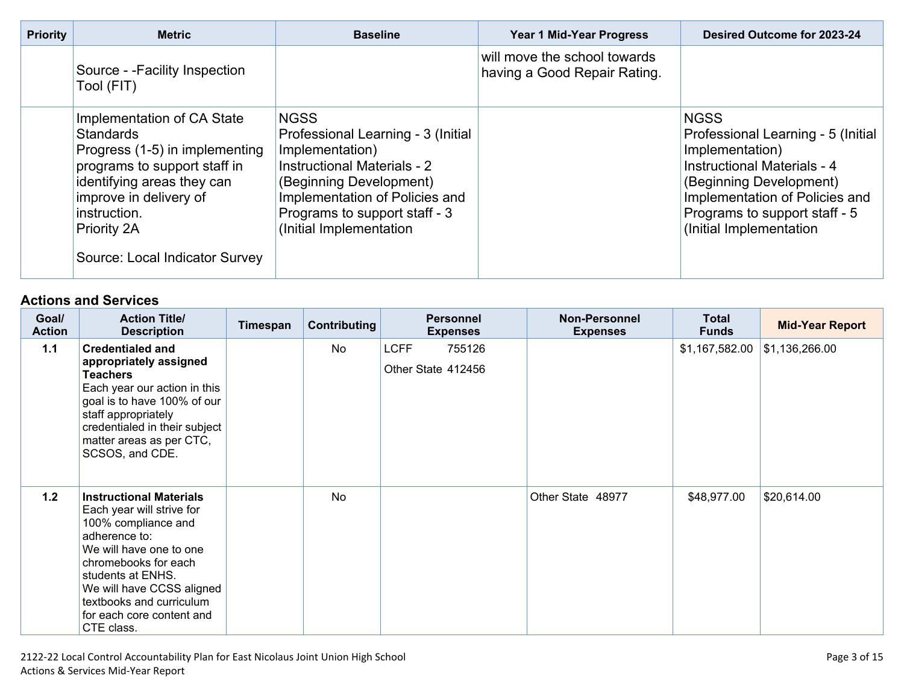| <b>Priority</b> | <b>Metric</b>                                                                                                                                                                                                                             | <b>Baseline</b>                                                                                                                                                                                                                     | Year 1 Mid-Year Progress                                     | Desired Outcome for 2023-24                                                                                                                                                                                                  |
|-----------------|-------------------------------------------------------------------------------------------------------------------------------------------------------------------------------------------------------------------------------------------|-------------------------------------------------------------------------------------------------------------------------------------------------------------------------------------------------------------------------------------|--------------------------------------------------------------|------------------------------------------------------------------------------------------------------------------------------------------------------------------------------------------------------------------------------|
|                 | Source - - Facility Inspection<br>Tool (FIT)                                                                                                                                                                                              |                                                                                                                                                                                                                                     | will move the school towards<br>having a Good Repair Rating. |                                                                                                                                                                                                                              |
|                 | Implementation of CA State<br><b>Standards</b><br>Progress (1-5) in implementing<br>programs to support staff in<br>identifying areas they can<br>improve in delivery of<br>instruction.<br>Priority 2A<br>Source: Local Indicator Survey | <b>NGSS</b><br>Professional Learning - 3 (Initial<br>Implementation)<br><b>Instructional Materials - 2</b><br>(Beginning Development)<br>Implementation of Policies and<br>Programs to support staff - 3<br>(Initial Implementation |                                                              | <b>NGSS</b><br>Professional Learning - 5 (Initial<br>Implementation)<br>Instructional Materials - 4<br>(Beginning Development)<br>Implementation of Policies and<br>Programs to support staff - 5<br>(Initial Implementation |

| Goal/<br><b>Action</b> | <b>Action Title/</b><br><b>Description</b>                                                                                                                                                                                                                                      | Timespan | <b>Contributing</b> | <b>Personnel</b><br><b>Expenses</b>         | <b>Non-Personnel</b><br><b>Expenses</b> | <b>Total</b><br><b>Funds</b> | <b>Mid-Year Report</b> |
|------------------------|---------------------------------------------------------------------------------------------------------------------------------------------------------------------------------------------------------------------------------------------------------------------------------|----------|---------------------|---------------------------------------------|-----------------------------------------|------------------------------|------------------------|
| $1.1$                  | <b>Credentialed and</b><br>appropriately assigned<br><b>Teachers</b><br>Each year our action in this<br>goal is to have 100% of our<br>staff appropriately<br>credentialed in their subject<br>matter areas as per CTC,<br>SCSOS, and CDE.                                      |          | <b>No</b>           | <b>LCFF</b><br>755126<br>Other State 412456 |                                         | \$1,167,582.00               | \$1,136,266.00         |
| 1.2                    | <b>Instructional Materials</b><br>Each year will strive for<br>100% compliance and<br>adherence to:<br>We will have one to one<br>chromebooks for each<br>students at ENHS.<br>We will have CCSS aligned<br>textbooks and curriculum<br>for each core content and<br>CTE class. |          | <b>No</b>           |                                             | Other State 48977                       | \$48,977.00                  | \$20,614.00            |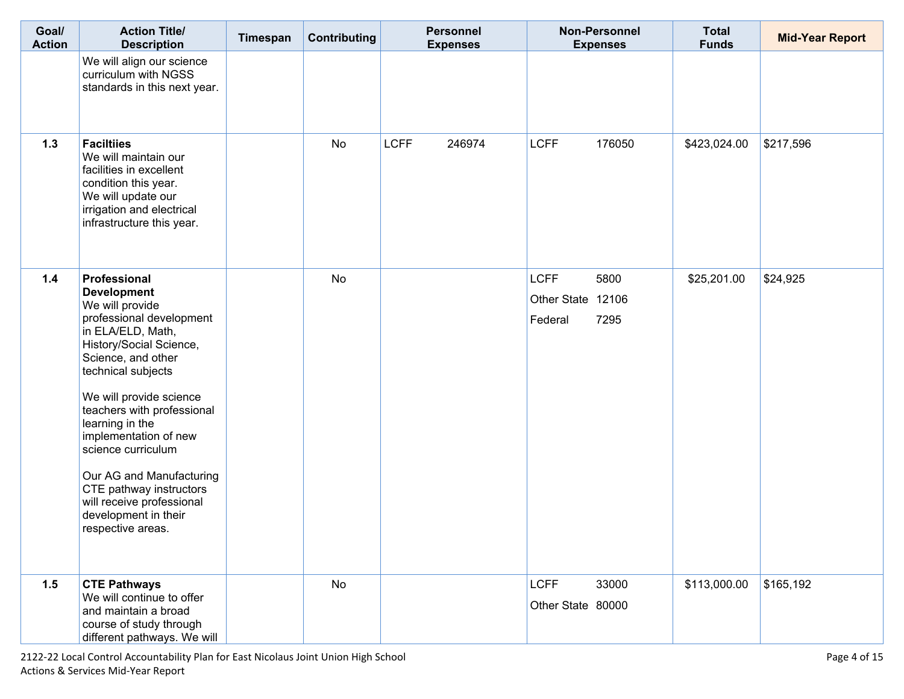| Goal/<br><b>Action</b> | <b>Action Title/</b><br><b>Description</b>                                                                                                                                                                                                                                                                                                                                                                                                | Timespan | Contributing | <b>Personnel</b><br><b>Expenses</b> | <b>Non-Personnel</b><br><b>Expenses</b>                     | <b>Total</b><br><b>Funds</b> | <b>Mid-Year Report</b> |
|------------------------|-------------------------------------------------------------------------------------------------------------------------------------------------------------------------------------------------------------------------------------------------------------------------------------------------------------------------------------------------------------------------------------------------------------------------------------------|----------|--------------|-------------------------------------|-------------------------------------------------------------|------------------------------|------------------------|
|                        | We will align our science<br>curriculum with NGSS<br>standards in this next year.                                                                                                                                                                                                                                                                                                                                                         |          |              |                                     |                                                             |                              |                        |
| 1.3                    | <b>Faciltiies</b><br>We will maintain our<br>facilities in excellent<br>condition this year.<br>We will update our<br>irrigation and electrical<br>infrastructure this year.                                                                                                                                                                                                                                                              |          | No           | <b>LCFF</b><br>246974               | <b>LCFF</b><br>176050                                       | \$423,024.00                 | \$217,596              |
| 1.4                    | Professional<br><b>Development</b><br>We will provide<br>professional development<br>in ELA/ELD, Math,<br>History/Social Science,<br>Science, and other<br>technical subjects<br>We will provide science<br>teachers with professional<br>learning in the<br>implementation of new<br>science curriculum<br>Our AG and Manufacturing<br>CTE pathway instructors<br>will receive professional<br>development in their<br>respective areas. |          | <b>No</b>    |                                     | <b>LCFF</b><br>5800<br>Other State 12106<br>Federal<br>7295 | \$25,201.00                  | \$24,925               |
| 1.5                    | <b>CTE Pathways</b><br>We will continue to offer<br>and maintain a broad<br>course of study through<br>different pathways. We will                                                                                                                                                                                                                                                                                                        |          | <b>No</b>    |                                     | <b>LCFF</b><br>33000<br>Other State 80000                   | \$113,000.00                 | \$165,192              |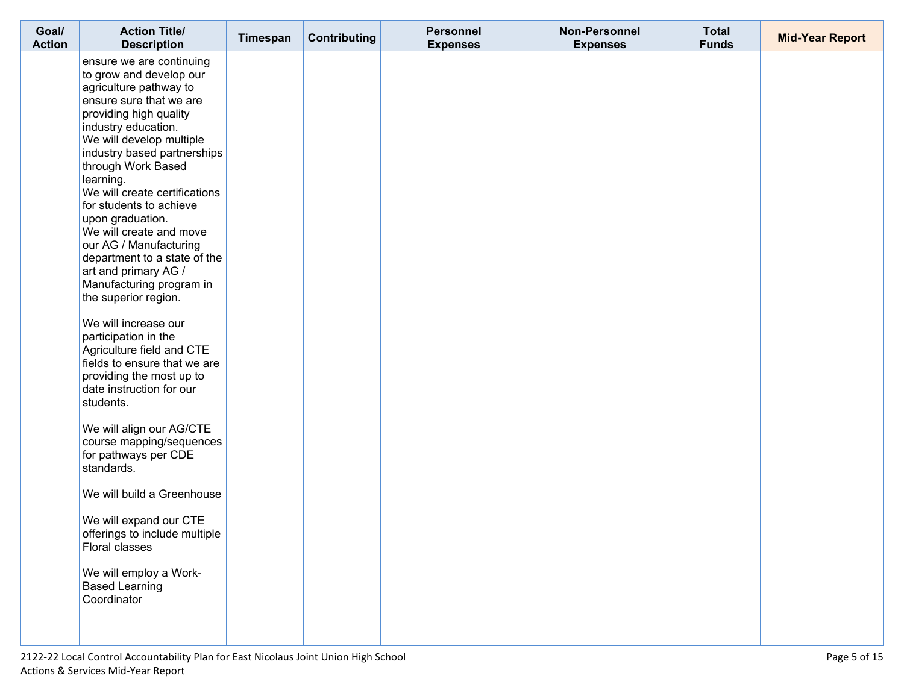| Goal/<br><b>Action</b> | <b>Action Title/</b><br><b>Description</b>                                                                                                                                                                                                                                                                                                                                                                                                                                                                                                                                                                                                                                                                                                                                                                                                                                                                                                                            | Timespan | Contributing | <b>Personnel</b><br><b>Expenses</b> | <b>Non-Personnel</b><br><b>Expenses</b> | <b>Total</b><br><b>Funds</b> | <b>Mid-Year Report</b> |
|------------------------|-----------------------------------------------------------------------------------------------------------------------------------------------------------------------------------------------------------------------------------------------------------------------------------------------------------------------------------------------------------------------------------------------------------------------------------------------------------------------------------------------------------------------------------------------------------------------------------------------------------------------------------------------------------------------------------------------------------------------------------------------------------------------------------------------------------------------------------------------------------------------------------------------------------------------------------------------------------------------|----------|--------------|-------------------------------------|-----------------------------------------|------------------------------|------------------------|
|                        | ensure we are continuing<br>to grow and develop our<br>agriculture pathway to<br>ensure sure that we are<br>providing high quality<br>industry education.<br>We will develop multiple<br>industry based partnerships<br>through Work Based<br>learning.<br>We will create certifications<br>for students to achieve<br>upon graduation.<br>We will create and move<br>our AG / Manufacturing<br>department to a state of the<br>art and primary AG /<br>Manufacturing program in<br>the superior region.<br>We will increase our<br>participation in the<br>Agriculture field and CTE<br>fields to ensure that we are<br>providing the most up to<br>date instruction for our<br>students.<br>We will align our AG/CTE<br>course mapping/sequences<br>for pathways per CDE<br>standards.<br>We will build a Greenhouse<br>We will expand our CTE<br>offerings to include multiple<br>Floral classes<br>We will employ a Work-<br><b>Based Learning</b><br>Coordinator |          |              |                                     |                                         |                              |                        |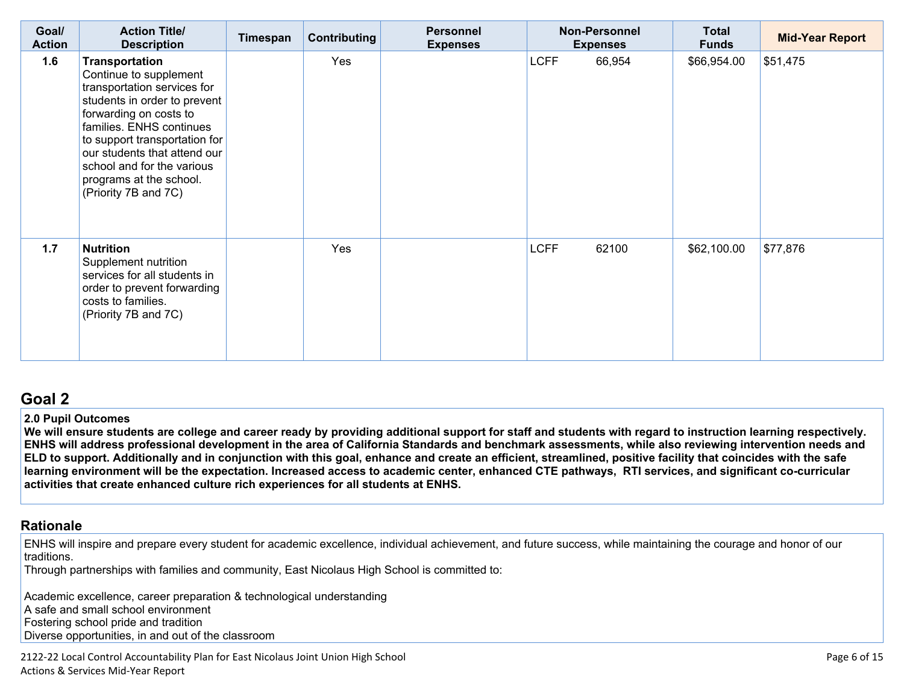| Goal/<br><b>Action</b> | <b>Action Title/</b><br><b>Description</b>                                                                                                                                                                                                                                                                      | Timespan | <b>Contributing</b> | <b>Personnel</b><br><b>Expenses</b> | <b>Non-Personnel</b><br><b>Expenses</b> | <b>Total</b><br><b>Funds</b> | <b>Mid-Year Report</b> |
|------------------------|-----------------------------------------------------------------------------------------------------------------------------------------------------------------------------------------------------------------------------------------------------------------------------------------------------------------|----------|---------------------|-------------------------------------|-----------------------------------------|------------------------------|------------------------|
| 1.6                    | Transportation<br>Continue to supplement<br>transportation services for<br>students in order to prevent<br>forwarding on costs to<br>families. ENHS continues<br>to support transportation for<br>our students that attend our<br>school and for the various<br>programs at the school.<br>(Priority 7B and 7C) |          | Yes                 |                                     | <b>LCFF</b><br>66,954                   | \$66,954.00                  | \$51,475               |
| 1.7                    | <b>Nutrition</b><br>Supplement nutrition<br>services for all students in<br>order to prevent forwarding<br>costs to families.<br>(Priority 7B and 7C)                                                                                                                                                           |          | Yes                 |                                     | <b>LCFF</b><br>62100                    | \$62,100.00                  | \$77,876               |

#### **2.0 Pupil Outcomes**

We will ensure students are college and career ready by providing additional support for staff and students with regard to instruction learning respectively. ENHS will address professional development in the area of California Standards and benchmark assessments, while also reviewing intervention needs and ELD to support. Additionally and in conjunction with this goal, enhance and create an efficient, streamlined, positive facility that coincides with the safe learning environment will be the expectation. Increased access to academic center, enhanced CTE pathways, RTI services, and significant co-curricular **activities that create enhanced culture rich experiences for all students at ENHS.**

#### **[Rationale](http://www.doc-tracking.com/screenshots/20LCAP/Instructions/20LCAPInstructions.htm#ExplanationofWhytheLEADevelopedGoals)**

ENHS will inspire and prepare every student for academic excellence, individual achievement, and future success, while maintaining the courage and honor of our traditions.

Through partnerships with families and community, East Nicolaus High School is committed to:

Academic excellence, career preparation & technological understanding A safe and small school environment Fostering school pride and tradition Diverse opportunities, in and out of the classroom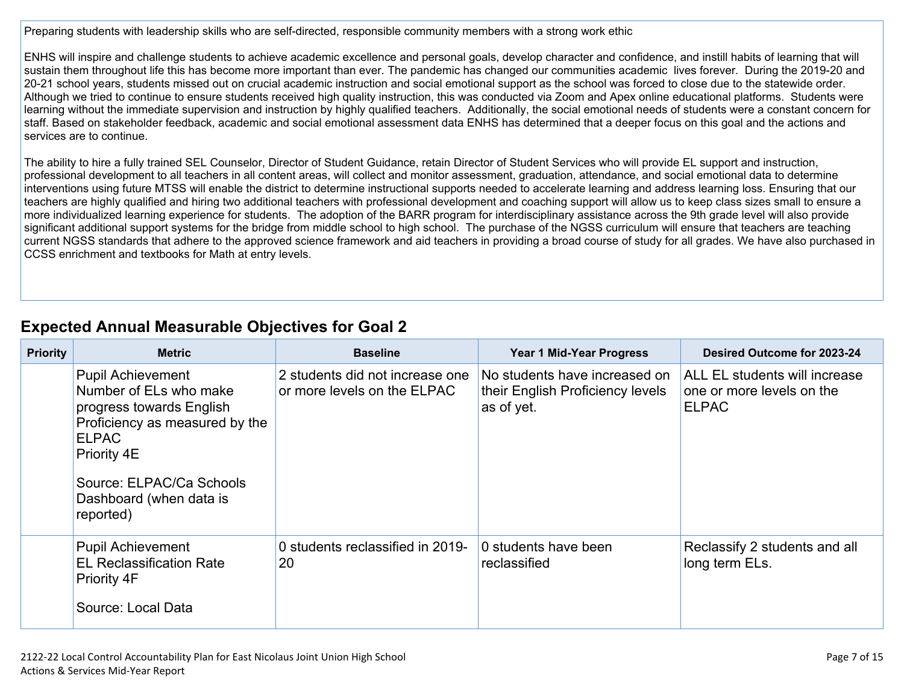Preparing students with leadership skills who are self-directed, responsible community members with a strong work ethic

ENHS will inspire and challenge students to achieve academic excellence and personal goals, develop character and confidence, and instill habits of learning that will sustain them throughout life this has become more important than ever. The pandemic has changed our communities academic lives forever. During the 2019-20 and 20-21 school years, students missed out on crucial academic instruction and social emotional support as the school was forced to close due to the statewide order. Although we tried to continue to ensure students received high quality instruction, this was conducted via Zoom and Apex online educational platforms. Students were learning without the immediate supervision and instruction by highly qualified teachers. Additionally, the social emotional needs of students were a constant concern for staff. Based on stakeholder feedback, academic and social emotional assessment data ENHS has determined that a deeper focus on this goal and the actions and services are to continue.

The ability to hire a fully trained SEL Counselor, Director of Student Guidance, retain Director of Student Services who will provide EL support and instruction, professional development to all teachers in all content areas, will collect and monitor assessment, graduation, attendance, and social emotional data to determine interventions using future MTSS will enable the district to determine instructional supports needed to accelerate learning and address learning loss. Ensuring that our teachers are highly qualified and hiring two additional teachers with professional development and coaching support will allow us to keep class sizes small to ensure a more individualized learning experience for students. The adoption of the BARR program for interdisciplinary assistance across the 9th grade level will also provide significant additional support systems for the bridge from middle school to high school. The purchase of the NGSS curriculum will ensure that teachers are teaching current NGSS standards that adhere to the approved science framework and aid teachers in providing a broad course of study for all grades. We have also purchased in CCSS enrichment and textbooks for Math at entry levels.

# **Expected Annual Measurable Objectives for Goal 2**

| <b>Priority</b> | <b>Metric</b>                                                                                                                                                                                                       | <b>Baseline</b>                                                | <b>Year 1 Mid-Year Progress</b>                                                 | <b>Desired Outcome for 2023-24</b>                                         |  |  |
|-----------------|---------------------------------------------------------------------------------------------------------------------------------------------------------------------------------------------------------------------|----------------------------------------------------------------|---------------------------------------------------------------------------------|----------------------------------------------------------------------------|--|--|
|                 | <b>Pupil Achievement</b><br>Number of ELs who make<br>progress towards English<br>Proficiency as measured by the<br><b>ELPAC</b><br>Priority 4E<br>Source: ELPAC/Ca Schools<br>Dashboard (when data is<br>reported) | 2 students did not increase one<br>or more levels on the ELPAC | No students have increased on<br>their English Proficiency levels<br>as of yet. | ALL EL students will increase<br>one or more levels on the<br><b>ELPAC</b> |  |  |
|                 | <b>Pupil Achievement</b><br><b>EL Reclassification Rate</b><br>Priority 4F<br>Source: Local Data                                                                                                                    | 0 students reclassified in 2019-<br>20                         | 0 students have been<br>reclassified                                            | Reclassify 2 students and all<br>long term ELs.                            |  |  |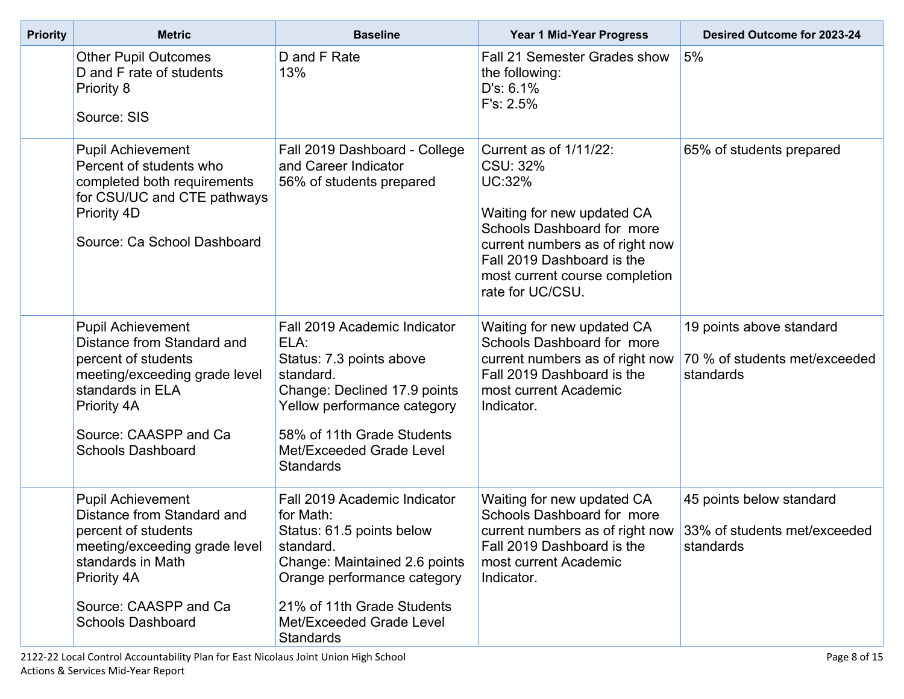| <b>Priority</b> | <b>Metric</b>                                                                                                                                                                                           | <b>Baseline</b>                                                                                                                                                                                                                   | Year 1 Mid-Year Progress                                                                                                                                                                                                               | Desired Outcome for 2023-24                                            |
|-----------------|---------------------------------------------------------------------------------------------------------------------------------------------------------------------------------------------------------|-----------------------------------------------------------------------------------------------------------------------------------------------------------------------------------------------------------------------------------|----------------------------------------------------------------------------------------------------------------------------------------------------------------------------------------------------------------------------------------|------------------------------------------------------------------------|
|                 | <b>Other Pupil Outcomes</b><br>D and F rate of students<br>Priority 8<br>Source: SIS                                                                                                                    | D and F Rate<br>13%                                                                                                                                                                                                               | Fall 21 Semester Grades show<br>the following:<br>D's: 6.1%<br>F's: 2.5%                                                                                                                                                               | 5%                                                                     |
|                 | <b>Pupil Achievement</b><br>Percent of students who<br>completed both requirements<br>for CSU/UC and CTE pathways<br>Priority 4D<br>Source: Ca School Dashboard                                         | Fall 2019 Dashboard - College<br>and Career Indicator<br>56% of students prepared                                                                                                                                                 | Current as of 1/11/22:<br>CSU: 32%<br><b>UC:32%</b><br>Waiting for new updated CA<br>Schools Dashboard for more<br>current numbers as of right now<br>Fall 2019 Dashboard is the<br>most current course completion<br>rate for UC/CSU. | 65% of students prepared                                               |
|                 | <b>Pupil Achievement</b><br>Distance from Standard and<br>percent of students<br>meeting/exceeding grade level<br>standards in ELA<br>Priority 4A<br>Source: CAASPP and Ca<br><b>Schools Dashboard</b>  | Fall 2019 Academic Indicator<br>ELA:<br>Status: 7.3 points above<br>standard.<br>Change: Declined 17.9 points<br>Yellow performance category<br>58% of 11th Grade Students<br>Met/Exceeded Grade Level<br><b>Standards</b>        | Waiting for new updated CA<br>Schools Dashboard for more<br>current numbers as of right now<br>Fall 2019 Dashboard is the<br>most current Academic<br>Indicator.                                                                       | 19 points above standard<br>70 % of students met/exceeded<br>standards |
|                 | <b>Pupil Achievement</b><br>Distance from Standard and<br>percent of students<br>meeting/exceeding grade level<br>standards in Math<br>Priority 4A<br>Source: CAASPP and Ca<br><b>Schools Dashboard</b> | Fall 2019 Academic Indicator<br>for Math:<br>Status: 61.5 points below<br>standard.<br>Change: Maintained 2.6 points<br>Orange performance category<br>21% of 11th Grade Students<br>Met/Exceeded Grade Level<br><b>Standards</b> | Waiting for new updated CA<br>Schools Dashboard for more<br>current numbers as of right now 33% of students met/exceeded<br>Fall 2019 Dashboard is the<br>most current Academic<br>Indicator.                                          | 45 points below standard<br>standards                                  |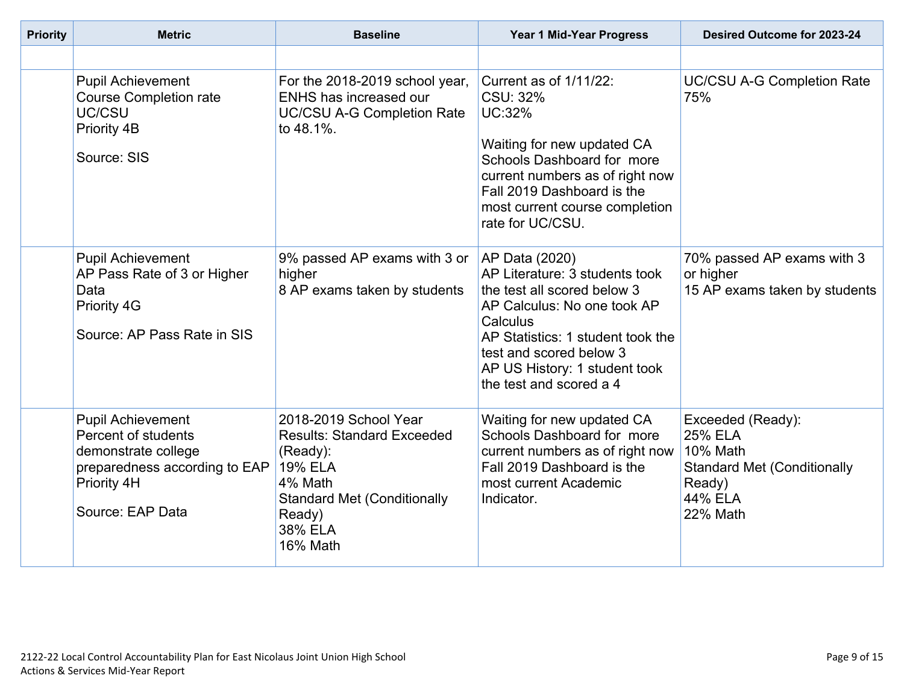| <b>Priority</b> | <b>Baseline</b><br><b>Metric</b>                                                                                                           |                                                                                                                                                                            | Year 1 Mid-Year Progress                                                                                                                                                                                                                               | Desired Outcome for 2023-24                                                                                            |
|-----------------|--------------------------------------------------------------------------------------------------------------------------------------------|----------------------------------------------------------------------------------------------------------------------------------------------------------------------------|--------------------------------------------------------------------------------------------------------------------------------------------------------------------------------------------------------------------------------------------------------|------------------------------------------------------------------------------------------------------------------------|
|                 |                                                                                                                                            |                                                                                                                                                                            |                                                                                                                                                                                                                                                        |                                                                                                                        |
|                 | <b>Pupil Achievement</b><br><b>Course Completion rate</b><br>UC/CSU<br>Priority 4B<br>Source: SIS                                          | For the 2018-2019 school year,<br>ENHS has increased our<br><b>UC/CSU A-G Completion Rate</b><br>to 48.1%.                                                                 | Current as of 1/11/22:<br>CSU: 32%<br><b>UC:32%</b><br>Waiting for new updated CA<br>Schools Dashboard for more<br>current numbers as of right now<br>Fall 2019 Dashboard is the<br>most current course completion<br>rate for UC/CSU.                 | <b>UC/CSU A-G Completion Rate</b><br>75%                                                                               |
|                 | <b>Pupil Achievement</b><br>AP Pass Rate of 3 or Higher<br>Data<br>Priority 4G<br>Source: AP Pass Rate in SIS                              | 9% passed AP exams with 3 or<br>higher<br>8 AP exams taken by students                                                                                                     | AP Data (2020)<br>AP Literature: 3 students took<br>the test all scored below 3<br>AP Calculus: No one took AP<br>Calculus<br>AP Statistics: 1 student took the<br>test and scored below 3<br>AP US History: 1 student took<br>the test and scored a 4 | 70% passed AP exams with 3<br>or higher<br>15 AP exams taken by students                                               |
|                 | <b>Pupil Achievement</b><br>Percent of students<br>demonstrate college<br>preparedness according to EAP<br>Priority 4H<br>Source: EAP Data | 2018-2019 School Year<br><b>Results: Standard Exceeded</b><br>(Ready):<br><b>19% ELA</b><br>4% Math<br><b>Standard Met (Conditionally</b><br>Ready)<br>38% ELA<br>16% Math | Waiting for new updated CA<br>Schools Dashboard for more<br>current numbers as of right now<br>Fall 2019 Dashboard is the<br>most current Academic<br>Indicator.                                                                                       | Exceeded (Ready):<br><b>25% ELA</b><br>10% Math<br><b>Standard Met (Conditionally</b><br>Ready)<br>44% ELA<br>22% Math |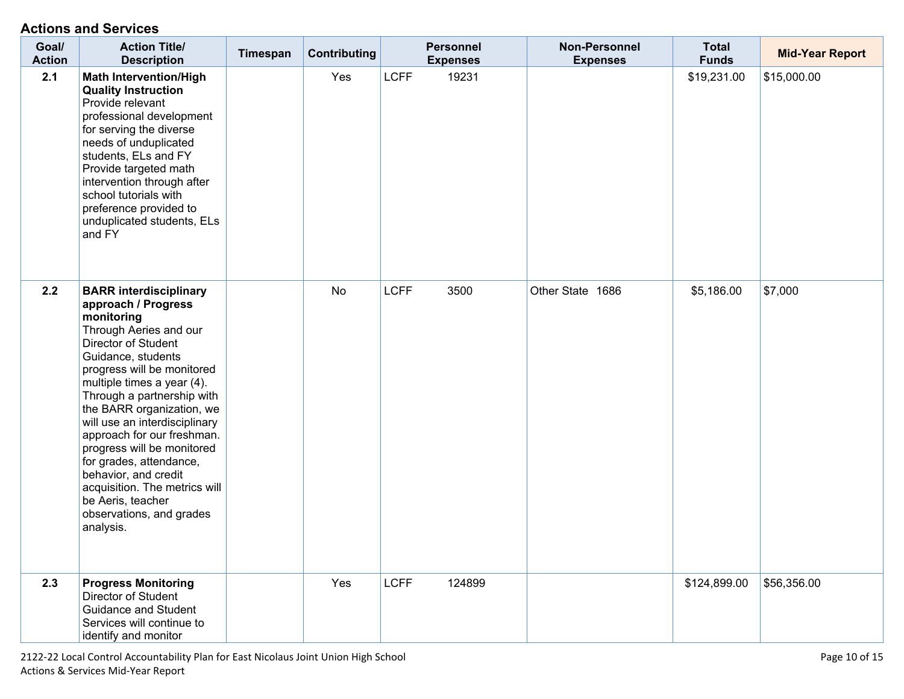| Goal/<br><b>Action</b> | <b>Action Title/</b><br><b>Description</b>                                                                                                                                                                                                                                                                                                                                                                                                                                                                      | Timespan | <b>Contributing</b> |             | <b>Personnel</b><br><b>Expenses</b> | Non-Personnel<br><b>Expenses</b> | <b>Total</b><br><b>Funds</b> | <b>Mid-Year Report</b> |
|------------------------|-----------------------------------------------------------------------------------------------------------------------------------------------------------------------------------------------------------------------------------------------------------------------------------------------------------------------------------------------------------------------------------------------------------------------------------------------------------------------------------------------------------------|----------|---------------------|-------------|-------------------------------------|----------------------------------|------------------------------|------------------------|
| 2.1                    | <b>Math Intervention/High</b><br><b>Quality Instruction</b><br>Provide relevant<br>professional development<br>for serving the diverse<br>needs of unduplicated<br>students, ELs and FY<br>Provide targeted math<br>intervention through after<br>school tutorials with<br>preference provided to<br>unduplicated students, ELs<br>and FY                                                                                                                                                                       |          | Yes                 | <b>LCFF</b> | 19231                               |                                  | \$19,231.00                  | \$15,000.00            |
| 2.2                    | <b>BARR interdisciplinary</b><br>approach / Progress<br>monitoring<br>Through Aeries and our<br>Director of Student<br>Guidance, students<br>progress will be monitored<br>multiple times a year (4).<br>Through a partnership with<br>the BARR organization, we<br>will use an interdisciplinary<br>approach for our freshman.<br>progress will be monitored<br>for grades, attendance,<br>behavior, and credit<br>acquisition. The metrics will<br>be Aeris, teacher<br>observations, and grades<br>analysis. |          | No                  | <b>LCFF</b> | 3500                                | Other State 1686                 | \$5,186.00                   | \$7,000                |
| 2.3                    | <b>Progress Monitoring</b><br>Director of Student<br>Guidance and Student<br>Services will continue to<br>identify and monitor                                                                                                                                                                                                                                                                                                                                                                                  |          | Yes                 | <b>LCFF</b> | 124899                              |                                  | \$124,899.00                 | \$56,356.00            |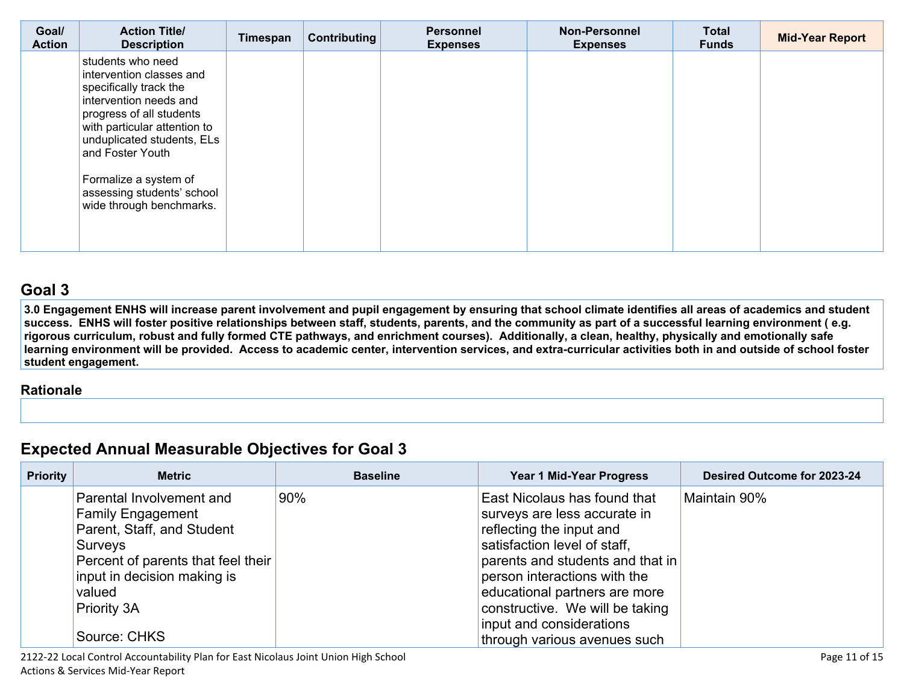| Goal/<br><b>Action</b> | <b>Action Title/</b><br><b>Description</b>                                                                                                                                                                                                                                                         | Timespan | Contributing | <b>Personnel</b><br><b>Expenses</b> | <b>Non-Personnel</b><br><b>Expenses</b> | <b>Total</b><br><b>Funds</b> | <b>Mid-Year Report</b> |
|------------------------|----------------------------------------------------------------------------------------------------------------------------------------------------------------------------------------------------------------------------------------------------------------------------------------------------|----------|--------------|-------------------------------------|-----------------------------------------|------------------------------|------------------------|
|                        | students who need<br>intervention classes and<br>specifically track the<br>intervention needs and<br>progress of all students<br>with particular attention to<br>unduplicated students, ELs<br>and Foster Youth<br>Formalize a system of<br>assessing students' school<br>wide through benchmarks. |          |              |                                     |                                         |                              |                        |

3.0 Engagement ENHS will increase parent involvement and pupil engagement by ensuring that school climate identifies all areas of academics and student success. ENHS will foster positive relationships between staff, students, parents, and the community as part of a successful learning environment (e.g. rigorous curriculum, robust and fully formed CTE pathways, and enrichment courses). Additionally, a clean, healthy, physically and emotionally safe learning environment will be provided. Access to academic center, intervention services, and extra-curricular activities both in and outside of school foster **student engagement.** 

#### **[Rationale](http://www.doc-tracking.com/screenshots/20LCAP/Instructions/20LCAPInstructions.htm#ExplanationofWhytheLEADevelopedGoals)**

# **Expected Annual Measurable Objectives for Goal 3**

| <b>Priority</b> | <b>Metric</b>                      | <b>Baseline</b> | <b>Year 1 Mid-Year Progress</b>  | Desired Outcome for 2023-24 |
|-----------------|------------------------------------|-----------------|----------------------------------|-----------------------------|
|                 | Parental Involvement and           | 90%             | East Nicolaus has found that     | Maintain 90%                |
|                 | <b>Family Engagement</b>           |                 | surveys are less accurate in     |                             |
|                 | Parent, Staff, and Student         |                 | reflecting the input and         |                             |
|                 | Surveys                            |                 | satisfaction level of staff,     |                             |
|                 | Percent of parents that feel their |                 | parents and students and that in |                             |
|                 | input in decision making is        |                 | person interactions with the     |                             |
|                 | valued                             |                 | educational partners are more    |                             |
|                 | <b>Priority 3A</b>                 |                 | constructive. We will be taking  |                             |
|                 |                                    |                 | input and considerations         |                             |
|                 | Source: CHKS                       |                 | through various avenues such     |                             |

2122-22 Local Control Accountability Plan for East Nicolaus Joint Union High School Page 11 of 15 Actions & Services Mid-Year Report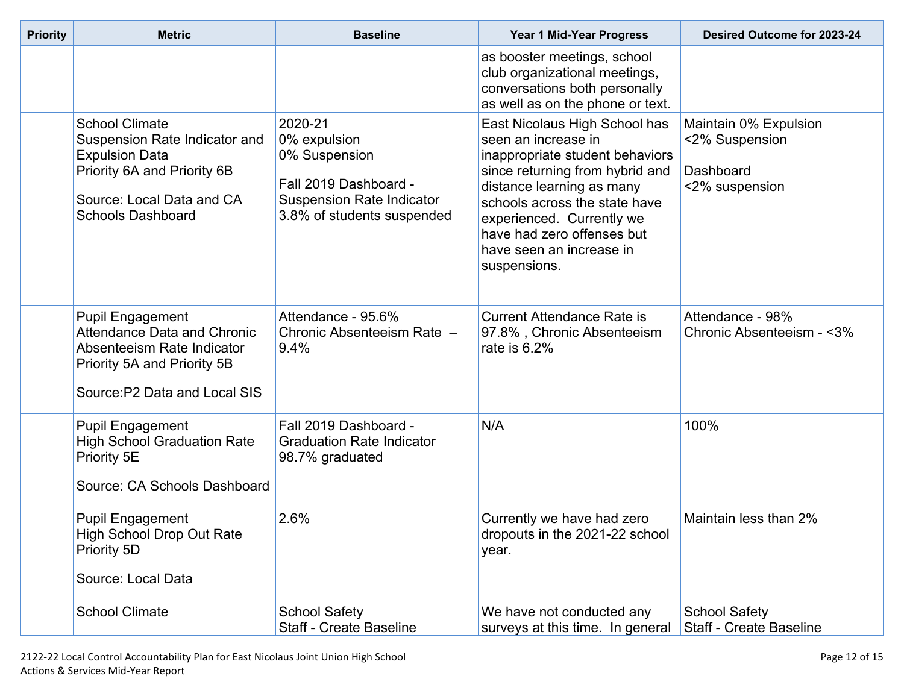| <b>Priority</b> | <b>Metric</b>                                                                                                                                                           | <b>Baseline</b>                                                                                                                     |                                                                                                                                                                                                                                                                                                 | Desired Outcome for 2023-24                                            |
|-----------------|-------------------------------------------------------------------------------------------------------------------------------------------------------------------------|-------------------------------------------------------------------------------------------------------------------------------------|-------------------------------------------------------------------------------------------------------------------------------------------------------------------------------------------------------------------------------------------------------------------------------------------------|------------------------------------------------------------------------|
|                 |                                                                                                                                                                         |                                                                                                                                     | as booster meetings, school<br>club organizational meetings,<br>conversations both personally<br>as well as on the phone or text.                                                                                                                                                               |                                                                        |
|                 | <b>School Climate</b><br>Suspension Rate Indicator and<br><b>Expulsion Data</b><br>Priority 6A and Priority 6B<br>Source: Local Data and CA<br><b>Schools Dashboard</b> | 2020-21<br>0% expulsion<br>0% Suspension<br>Fall 2019 Dashboard -<br><b>Suspension Rate Indicator</b><br>3.8% of students suspended | East Nicolaus High School has<br>seen an increase in<br>inappropriate student behaviors<br>since returning from hybrid and<br>distance learning as many<br>schools across the state have<br>experienced. Currently we<br>have had zero offenses but<br>have seen an increase in<br>suspensions. | Maintain 0% Expulsion<br><2% Suspension<br>Dashboard<br><2% suspension |
|                 | <b>Pupil Engagement</b><br>Attendance Data and Chronic<br>Absenteeism Rate Indicator<br>Priority 5A and Priority 5B<br>Source: P2 Data and Local SIS                    | Attendance - 95.6%<br>Chronic Absenteeism Rate -<br>9.4%                                                                            | <b>Current Attendance Rate is</b><br>97.8%, Chronic Absenteeism<br>rate is $6.2%$                                                                                                                                                                                                               | Attendance - 98%<br>Chronic Absenteeism - <3%                          |
|                 | <b>Pupil Engagement</b><br><b>High School Graduation Rate</b><br>Priority 5E<br>Source: CA Schools Dashboard                                                            | Fall 2019 Dashboard -<br><b>Graduation Rate Indicator</b><br>98.7% graduated                                                        | N/A                                                                                                                                                                                                                                                                                             | 100%                                                                   |
|                 | <b>Pupil Engagement</b><br>High School Drop Out Rate<br>Priority 5D<br>Source: Local Data                                                                               | 2.6%                                                                                                                                | Currently we have had zero<br>dropouts in the 2021-22 school<br>year.                                                                                                                                                                                                                           | Maintain less than 2%                                                  |
|                 | <b>School Climate</b>                                                                                                                                                   | <b>School Safety</b><br><b>Staff - Create Baseline</b>                                                                              | We have not conducted any<br>surveys at this time. In general                                                                                                                                                                                                                                   | <b>School Safety</b><br><b>Staff - Create Baseline</b>                 |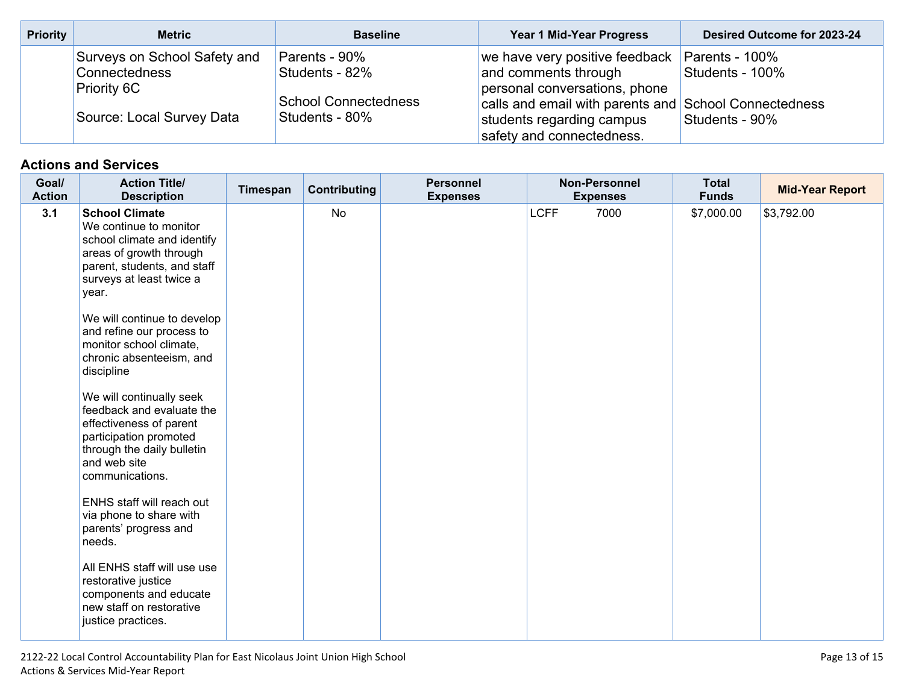| <b>Priority</b> | <b>Metric</b>                                                                                           | <b>Baseline</b>                                                                  | Year 1 Mid-Year Progress                                                                                                                                                                                     | Desired Outcome for 2023-24                         |
|-----------------|---------------------------------------------------------------------------------------------------------|----------------------------------------------------------------------------------|--------------------------------------------------------------------------------------------------------------------------------------------------------------------------------------------------------------|-----------------------------------------------------|
|                 | Surveys on School Safety and<br><b>Connectedness</b><br><b>Priority 6C</b><br>Source: Local Survey Data | Parents - 90%<br>Students - 82%<br><b>School Connectedness</b><br>Students - 80% | we have very positive feedback  <br>and comments through<br>personal conversations, phone<br>calls and email with parents and School Connectedness<br>students regarding campus<br>safety and connectedness. | Parents - 100%<br>Students - 100%<br>Students - 90% |

| Goal/<br><b>Action</b> | <b>Action Title/</b><br><b>Description</b>                                                                                                                                    | Timespan | Contributing | <b>Personnel</b><br><b>Expenses</b> | <b>Non-Personnel</b><br><b>Expenses</b> | <b>Total</b><br><b>Funds</b> | <b>Mid-Year Report</b> |
|------------------------|-------------------------------------------------------------------------------------------------------------------------------------------------------------------------------|----------|--------------|-------------------------------------|-----------------------------------------|------------------------------|------------------------|
| 3.1                    | <b>School Climate</b><br>We continue to monitor<br>school climate and identify<br>areas of growth through<br>parent, students, and staff<br>surveys at least twice a<br>year. |          | <b>No</b>    |                                     | <b>LCFF</b><br>7000                     | \$7,000.00                   | \$3,792.00             |
|                        | We will continue to develop<br>and refine our process to<br>monitor school climate,<br>chronic absenteeism, and<br>discipline                                                 |          |              |                                     |                                         |                              |                        |
|                        | We will continually seek<br>feedback and evaluate the<br>effectiveness of parent<br>participation promoted<br>through the daily bulletin<br>and web site<br>communications.   |          |              |                                     |                                         |                              |                        |
|                        | ENHS staff will reach out<br>via phone to share with<br>parents' progress and<br>needs.                                                                                       |          |              |                                     |                                         |                              |                        |
|                        | All ENHS staff will use use<br>restorative justice<br>components and educate<br>new staff on restorative<br>justice practices.                                                |          |              |                                     |                                         |                              |                        |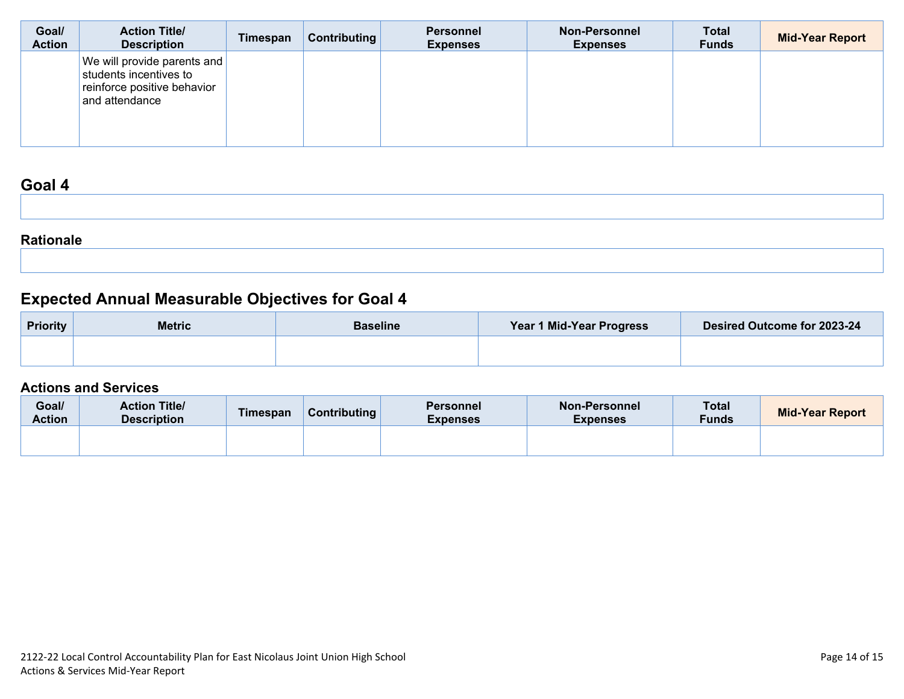| Goal/<br><b>Action</b> | <b>Action Title/</b><br><b>Description</b>                                                             | Timespan | Contributing | <b>Personnel</b><br><b>Expenses</b> | <b>Non-Personnel</b><br><b>Expenses</b> | <b>Total</b><br><b>Funds</b> | <b>Mid-Year Report</b> |
|------------------------|--------------------------------------------------------------------------------------------------------|----------|--------------|-------------------------------------|-----------------------------------------|------------------------------|------------------------|
|                        | We will provide parents and<br>students incentives to<br>reinforce positive behavior<br>and attendance |          |              |                                     |                                         |                              |                        |

| -----            |  |  |  |
|------------------|--|--|--|
|                  |  |  |  |
|                  |  |  |  |
|                  |  |  |  |
|                  |  |  |  |
|                  |  |  |  |
| <b>Rationale</b> |  |  |  |
|                  |  |  |  |

# **Expected Annual Measurable Objectives for Goal 4**

| <b>Priority</b> | <b>Metric</b> | <b>Baseline</b> |  | Desired Outcome for 2023-24 |  |
|-----------------|---------------|-----------------|--|-----------------------------|--|
|                 |               |                 |  |                             |  |

| Goal/<br><b>Action</b> | <b>Action Title/</b><br><b>Description</b> | <b>Timespan</b> | Contributing | <b>Personnel</b><br><b>Expenses</b> | <b>Non-Personnel</b><br><b>Expenses</b> | <b>Total</b><br><b>Funds</b> | <b>Mid-Year Report</b> |
|------------------------|--------------------------------------------|-----------------|--------------|-------------------------------------|-----------------------------------------|------------------------------|------------------------|
|                        |                                            |                 |              |                                     |                                         |                              |                        |